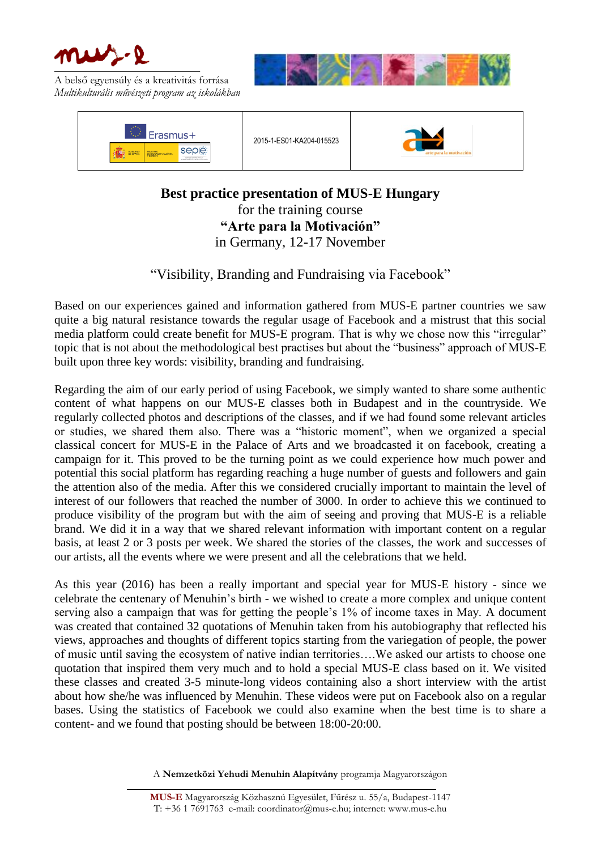

A belső egyensúly és a kreativitás forrása *Multikulturális művészeti program az iskolákban*





2015-1-ES01-KA204-015523



**Best practice presentation of MUS-E Hungary** for the training course **"Arte para la Motivación"** in Germany, 12-17 November

"Visibility, Branding and Fundraising via Facebook"

Based on our experiences gained and information gathered from MUS-E partner countries we saw quite a big natural resistance towards the regular usage of Facebook and a mistrust that this social media platform could create benefit for MUS-E program. That is why we chose now this "irregular" topic that is not about the methodological best practises but about the "business" approach of MUS-E built upon three key words: visibility, branding and fundraising.

Regarding the aim of our early period of using Facebook, we simply wanted to share some authentic content of what happens on our MUS-E classes both in Budapest and in the countryside. We regularly collected photos and descriptions of the classes, and if we had found some relevant articles or studies, we shared them also. There was a "historic moment", when we organized a special classical concert for MUS-E in the Palace of Arts and we broadcasted it on facebook, creating a campaign for it. This proved to be the turning point as we could experience how much power and potential this social platform has regarding reaching a huge number of guests and followers and gain the attention also of the media. After this we considered crucially important to maintain the level of interest of our followers that reached the number of 3000. In order to achieve this we continued to produce visibility of the program but with the aim of seeing and proving that MUS-E is a reliable brand. We did it in a way that we shared relevant information with important content on a regular basis, at least 2 or 3 posts per week. We shared the stories of the classes, the work and successes of our artists, all the events where we were present and all the celebrations that we held.

As this year (2016) has been a really important and special year for MUS-E history - since we celebrate the centenary of Menuhin's birth - we wished to create a more complex and unique content serving also a campaign that was for getting the people's 1% of income taxes in May. A document was created that contained 32 quotations of Menuhin taken from his autobiography that reflected his views, approaches and thoughts of different topics starting from the variegation of people, the power of music until saving the ecosystem of native indian territories….We asked our artists to choose one quotation that inspired them very much and to hold a special MUS-E class based on it. We visited these classes and created 3-5 minute-long videos containing also a short interview with the artist about how she/he was influenced by Menuhin. These videos were put on Facebook also on a regular bases. Using the statistics of Facebook we could also examine when the best time is to share a content- and we found that posting should be between 18:00-20:00.

A **Nemzetközi Yehudi Menuhin Alapítvány** programja Magyarországon